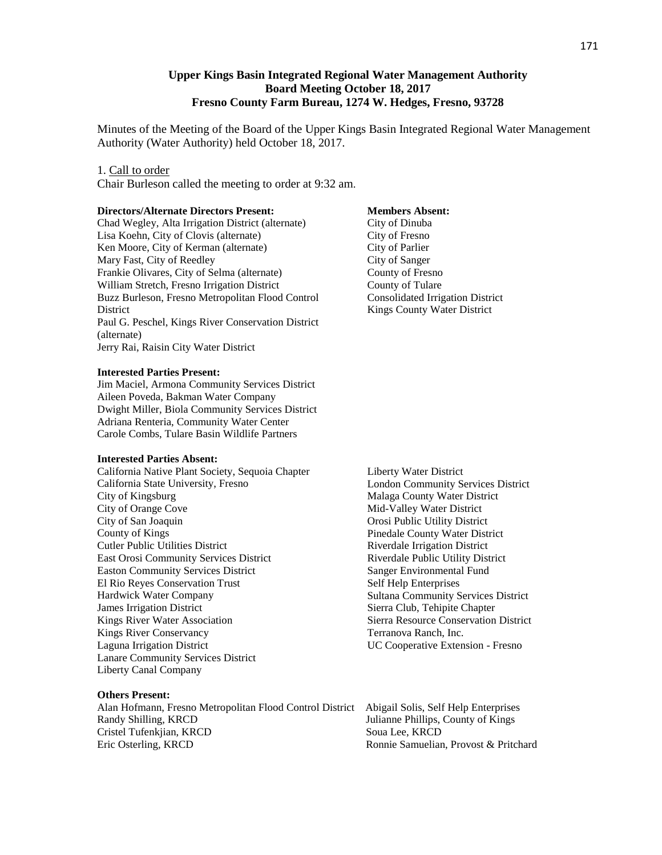### **Upper Kings Basin Integrated Regional Water Management Authority Board Meeting October 18, 2017 Fresno County Farm Bureau, 1274 W. Hedges, Fresno, 93728**

Minutes of the Meeting of the Board of the Upper Kings Basin Integrated Regional Water Management Authority (Water Authority) held October 18, 2017.

#### 1. Call to order

Chair Burleson called the meeting to order at 9:32 am.

#### **Directors/Alternate Directors Present:**

Chad Wegley, Alta Irrigation District (alternate) Lisa Koehn, City of Clovis (alternate) Ken Moore, City of Kerman (alternate) Mary Fast, City of Reedley Frankie Olivares, City of Selma (alternate) William Stretch, Fresno Irrigation District Buzz Burleson, Fresno Metropolitan Flood Control District Paul G. Peschel, Kings River Conservation District (alternate) Jerry Rai, Raisin City Water District

#### **Interested Parties Present:**

Jim Maciel, Armona Community Services District Aileen Poveda, Bakman Water Company Dwight Miller, Biola Community Services District Adriana Renteria, Community Water Center Carole Combs, Tulare Basin Wildlife Partners

#### **Interested Parties Absent:**

California Native Plant Society, Sequoia Chapter California State University, Fresno City of Kingsburg City of Orange Cove City of San Joaquin County of Kings Cutler Public Utilities District East Orosi Community Services District Easton Community Services District El Rio Reyes Conservation Trust Hardwick Water Company James Irrigation District Kings River Water Association Kings River Conservancy Laguna Irrigation District Lanare Community Services District Liberty Canal Company

#### **Others Present:**

Alan Hofmann, Fresno Metropolitan Flood Control District Abigail Solis, Self Help Enterprises Cristel Tufenkiian, KRCD Soua Lee, KRCD Eric Osterling, KRCD **Roman Roman Roman Roman Roman Roman Roman Roman Roman Roman Roman Roman Roman Roman Roman Roman Roman Roman Roman Roman Roman Roman Roman Roman Roman Roman Roman Roman Roman Roman Roman Roman Roman Ro** 

#### **Members Absent:**

City of Dinuba City of Fresno City of Parlier City of Sanger County of Fresno County of Tulare Consolidated Irrigation District Kings County Water District

Liberty Water District London Community Services District Malaga County Water District Mid-Valley Water District Orosi Public Utility District Pinedale County Water District Riverdale Irrigation District Riverdale Public Utility District Sanger Environmental Fund Self Help Enterprises Sultana Community Services District Sierra Club, Tehipite Chapter Sierra Resource Conservation District Terranova Ranch, Inc. UC Cooperative Extension - Fresno

Julianne Phillips, County of Kings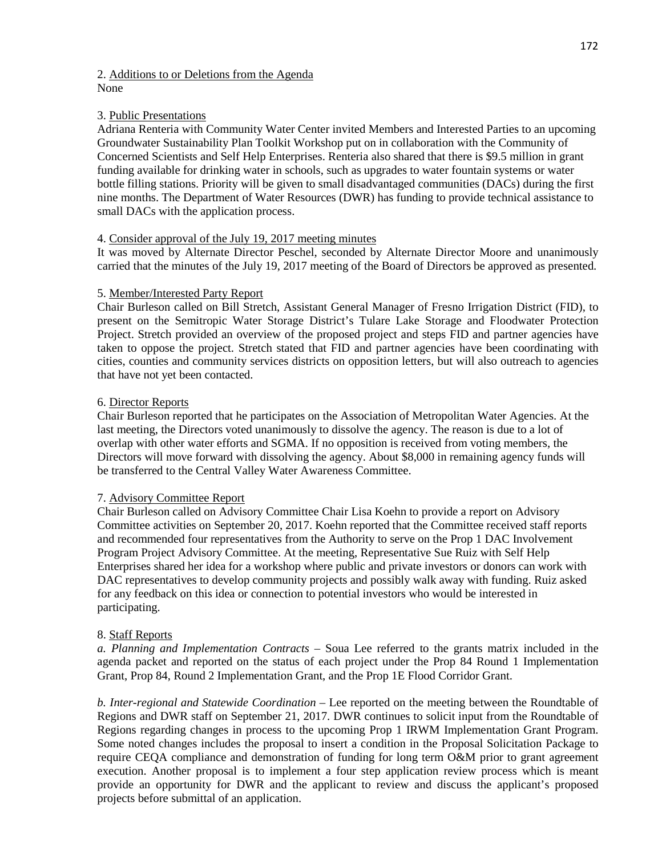### 2. Additions to or Deletions from the Agenda None

## 3. Public Presentations

Adriana Renteria with Community Water Center invited Members and Interested Parties to an upcoming Groundwater Sustainability Plan Toolkit Workshop put on in collaboration with the Community of Concerned Scientists and Self Help Enterprises. Renteria also shared that there is \$9.5 million in grant funding available for drinking water in schools, such as upgrades to water fountain systems or water bottle filling stations. Priority will be given to small disadvantaged communities (DACs) during the first nine months. The Department of Water Resources (DWR) has funding to provide technical assistance to small DACs with the application process.

### 4. Consider approval of the July 19, 2017 meeting minutes

It was moved by Alternate Director Peschel, seconded by Alternate Director Moore and unanimously carried that the minutes of the July 19, 2017 meeting of the Board of Directors be approved as presented.

### 5. Member/Interested Party Report

Chair Burleson called on Bill Stretch, Assistant General Manager of Fresno Irrigation District (FID), to present on the Semitropic Water Storage District's Tulare Lake Storage and Floodwater Protection Project. Stretch provided an overview of the proposed project and steps FID and partner agencies have taken to oppose the project. Stretch stated that FID and partner agencies have been coordinating with cities, counties and community services districts on opposition letters, but will also outreach to agencies that have not yet been contacted.

## 6. Director Reports

Chair Burleson reported that he participates on the Association of Metropolitan Water Agencies. At the last meeting, the Directors voted unanimously to dissolve the agency. The reason is due to a lot of overlap with other water efforts and SGMA. If no opposition is received from voting members, the Directors will move forward with dissolving the agency. About \$8,000 in remaining agency funds will be transferred to the Central Valley Water Awareness Committee.

### 7. Advisory Committee Report

Chair Burleson called on Advisory Committee Chair Lisa Koehn to provide a report on Advisory Committee activities on September 20, 2017. Koehn reported that the Committee received staff reports and recommended four representatives from the Authority to serve on the Prop 1 DAC Involvement Program Project Advisory Committee. At the meeting, Representative Sue Ruiz with Self Help Enterprises shared her idea for a workshop where public and private investors or donors can work with DAC representatives to develop community projects and possibly walk away with funding. Ruiz asked for any feedback on this idea or connection to potential investors who would be interested in participating.

### 8. Staff Reports

*a. Planning and Implementation Contracts* – Soua Lee referred to the grants matrix included in the agenda packet and reported on the status of each project under the Prop 84 Round 1 Implementation Grant, Prop 84, Round 2 Implementation Grant, and the Prop 1E Flood Corridor Grant.

*b. Inter-regional and Statewide Coordination* – Lee reported on the meeting between the Roundtable of Regions and DWR staff on September 21, 2017. DWR continues to solicit input from the Roundtable of Regions regarding changes in process to the upcoming Prop 1 IRWM Implementation Grant Program. Some noted changes includes the proposal to insert a condition in the Proposal Solicitation Package to require CEQA compliance and demonstration of funding for long term O&M prior to grant agreement execution. Another proposal is to implement a four step application review process which is meant provide an opportunity for DWR and the applicant to review and discuss the applicant's proposed projects before submittal of an application.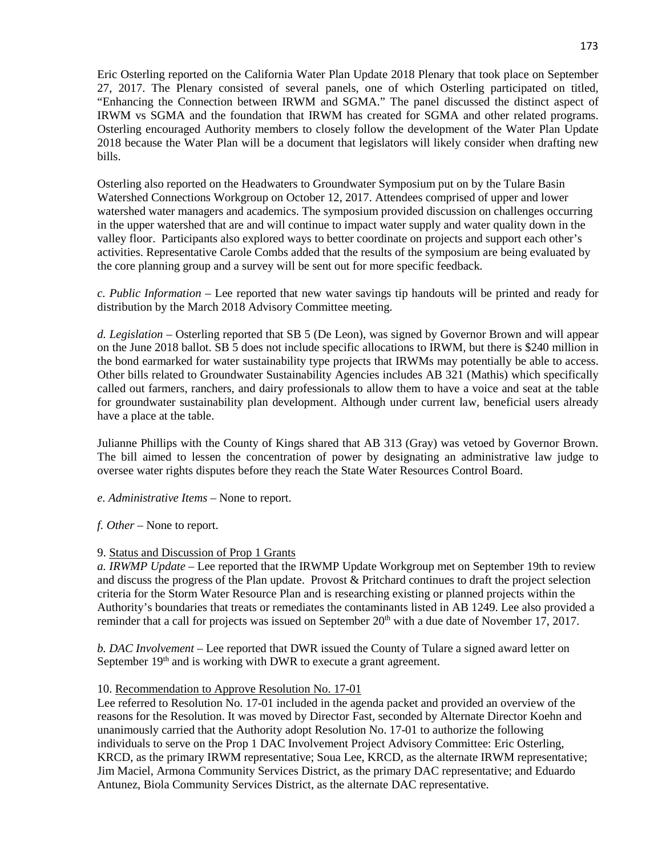Eric Osterling reported on the California Water Plan Update 2018 Plenary that took place on September 27, 2017. The Plenary consisted of several panels, one of which Osterling participated on titled, "Enhancing the Connection between IRWM and SGMA." The panel discussed the distinct aspect of IRWM vs SGMA and the foundation that IRWM has created for SGMA and other related programs. Osterling encouraged Authority members to closely follow the development of the Water Plan Update 2018 because the Water Plan will be a document that legislators will likely consider when drafting new bills.

Osterling also reported on the Headwaters to Groundwater Symposium put on by the Tulare Basin Watershed Connections Workgroup on October 12, 2017. Attendees comprised of upper and lower watershed water managers and academics. The symposium provided discussion on challenges occurring in the upper watershed that are and will continue to impact water supply and water quality down in the valley floor. Participants also explored ways to better coordinate on projects and support each other's activities. Representative Carole Combs added that the results of the symposium are being evaluated by the core planning group and a survey will be sent out for more specific feedback.

*c. Public Information* – Lee reported that new water savings tip handouts will be printed and ready for distribution by the March 2018 Advisory Committee meeting.

*d. Legislation* – Osterling reported that SB 5 (De Leon), was signed by Governor Brown and will appear on the June 2018 ballot. SB 5 does not include specific allocations to IRWM, but there is \$240 million in the bond earmarked for water sustainability type projects that IRWMs may potentially be able to access. Other bills related to Groundwater Sustainability Agencies includes AB 321 (Mathis) which specifically called out farmers, ranchers, and dairy professionals to allow them to have a voice and seat at the table for groundwater sustainability plan development. Although under current law, beneficial users already have a place at the table.

Julianne Phillips with the County of Kings shared that AB 313 (Gray) was vetoed by Governor Brown. The bill aimed to lessen the concentration of power by designating an administrative law judge to oversee water rights disputes before they reach the State Water Resources Control Board.

*e. Administrative Items* – None to report.

*f. Other* – None to report.

# 9. Status and Discussion of Prop 1 Grants

*a. IRWMP Update* – Lee reported that the IRWMP Update Workgroup met on September 19th to review and discuss the progress of the Plan update. Provost & Pritchard continues to draft the project selection criteria for the Storm Water Resource Plan and is researching existing or planned projects within the Authority's boundaries that treats or remediates the contaminants listed in AB 1249. Lee also provided a reminder that a call for projects was issued on September 20<sup>th</sup> with a due date of November 17, 2017.

*b. DAC Involvement* – Lee reported that DWR issued the County of Tulare a signed award letter on September  $19<sup>th</sup>$  and is working with DWR to execute a grant agreement.

# 10. Recommendation to Approve Resolution No. 17-01

Lee referred to Resolution No. 17-01 included in the agenda packet and provided an overview of the reasons for the Resolution. It was moved by Director Fast, seconded by Alternate Director Koehn and unanimously carried that the Authority adopt Resolution No. 17-01 to authorize the following individuals to serve on the Prop 1 DAC Involvement Project Advisory Committee: Eric Osterling, KRCD, as the primary IRWM representative; Soua Lee, KRCD, as the alternate IRWM representative; Jim Maciel, Armona Community Services District, as the primary DAC representative; and Eduardo Antunez, Biola Community Services District, as the alternate DAC representative.